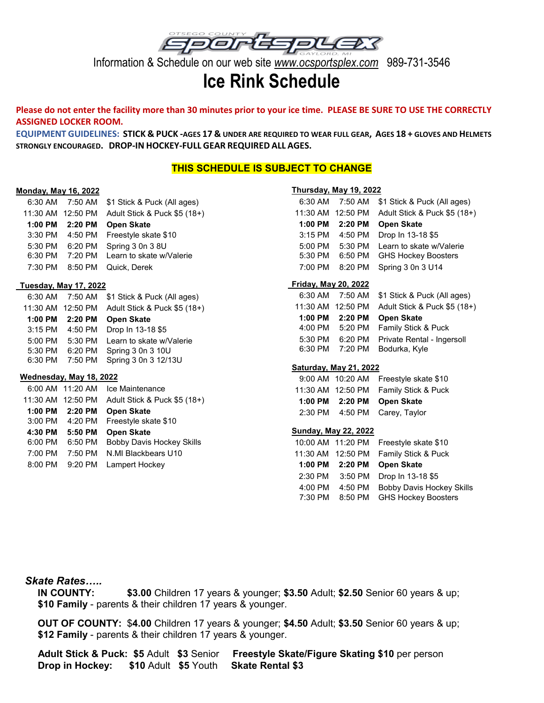

Information & Schedule on our web site *www.ocsportsplex.com* 989-731-3546

# **Ice Rink Schedule**

## **Please do not enter the facility more than 30 minutes prior to your ice time. PLEASE BE SURE TO USE THE CORRECTLY ASSIGNED LOCKER ROOM.**

**EQUIPMENT GUIDELINES: STICK & PUCK -AGES 17 & UNDER ARE REQUIRED TO WEAR FULL GEAR, AGES 18 + GLOVES AND HELMETS STRONGLY ENCOURAGED. DROP-IN HOCKEY-FULL GEAR REQUIRED ALL AGES.**

## **THIS SCHEDULE IS SUBJECT TO CHANGE**

#### **Monday, May 16, 2022**

6:30 AM 7:50 AM \$1 Stick & Puck (All ages) 11:30 AM 12:50 PM Adult Stick & Puck \$5 (18+) **1:00 PM 2:20 PM Open Skate** 3:30 PM 4:50 PM Freestyle skate \$10 5:30 PM 6:20 PM Spring 3 0n 3 8U 6:30 PM 7:20 PM Learn to skate w/Valerie 7:30 PM 8:50 PM Quick, Derek

## **Tuesday, May 17, 2022**

6:30 AM 7:50 AM \$1 Stick & Puck (All ages) 11:30 AM 12:50 PM Adult Stick & Puck \$5 (18+) **1:00 PM 2:20 PM Open Skate** 3:15 PM 4:50 PM Drop In 13-18 \$5 5:00 PM 5:30 PM Learn to skate w/Valerie 5:30 PM 6:20 PM Spring 3 0n 3 10U 6:30 PM 7:50 PM Spring 3 0n 3 12/13U

## **Wednesday, May 18, 2022**

| 6:00 AM 11:20 AM<br>Ice Maintenance            |                                  |
|------------------------------------------------|----------------------------------|
| 12:50 PM<br>11:30 AM                           | Adult Stick & Puck \$5 (18+)     |
| <b>Open Skate</b><br>$1:00$ PM<br>2:20 PM      |                                  |
| Freestyle skate \$10<br>$4:20$ PM<br>$3:00$ PM |                                  |
|                                                |                                  |
| <b>Open Skate</b><br>4:30 PM<br>5:50 PM        |                                  |
| $6:00$ PM<br>6:50 PM                           | <b>Bobby Davis Hockey Skills</b> |
| N.MI Blackbears U10<br>$7:00$ PM<br>7:50 PM    |                                  |

## **Thursday, May 19, 2022**

|                      | 6:30 AM 7:50 AM | \$1 Stick & Puck (All ages)  |
|----------------------|-----------------|------------------------------|
| $11:30$ AM           | 12:50 PM        | Adult Stick & Puck \$5 (18+) |
| $1:00$ PM            | $2:20$ PM       | <b>Open Skate</b>            |
| $3:15$ PM            | $4:50$ PM       | Drop In 13-18 \$5            |
| $5:00$ PM            | 5:30 PM         | Learn to skate w/Valerie     |
| 5:30 PM              | $6:50$ PM       | <b>GHS Hockey Boosters</b>   |
| 7:00 PM              | 8:20 PM         | Spring 3 0n 3 U14            |
| Friday, May 20, 2022 |                 |                              |

|         | 6:30 AM 7:50 AM   | \$1 Stick & Puck (All ages)  |
|---------|-------------------|------------------------------|
|         | 11:30 AM 12:50 PM | Adult Stick & Puck \$5 (18+) |
| 1:00 PM | 2:20 PM           | <b>Open Skate</b>            |
| 4:00 PM | 5:20 PM           | Family Stick & Puck          |
| 5:30 PM | 6:20 PM           | Private Rental - Ingersoll   |
| 6:30 PM | 7:20 PM           | Bodurka, Kyle                |

#### **Saturday, May 21, 2022**

|  | 9:00 AM 10:20 AM Freestyle skate \$10 |
|--|---------------------------------------|
|  | 11:30 AM 12:50 PM Family Stick & Puck |
|  | 1:00 PM 2:20 PM Open Skate            |
|  |                                       |

## **Sunday, May 22, 2022**

|           |         | 10:00 AM 11:20 PM Freestyle skate \$10 |
|-----------|---------|----------------------------------------|
|           |         | 11:30 AM 12:50 PM Family Stick & Puck  |
|           |         | 1:00 PM 2:20 PM Open Skate             |
| 2:30 PM   |         | 3:50 PM Drop In 13-18 \$5              |
| $4:00$ PM | 4:50 PM | <b>Bobby Davis Hockey Skills</b>       |
| 7:30 PM   |         | 8:50 PM GHS Hockey Boosters            |

## *Skate Rates…..*

 **IN COUNTY: \$3.00** Children 17 years & younger; **\$3.50** Adult; **\$2.50** Senior 60 years & up;  **\$10 Family** - parents & their children 17 years & younger.

 **OUT OF COUNTY:** \$**4.00** Children 17 years & younger; **\$4.50** Adult; **\$3.50** Senior 60 years & up;  **\$12 Family** - parents & their children 17 years & younger.

 **Adult Stick & Puck: \$5** Adult **\$3** Senior**Freestyle Skate/Figure Skating \$10** per person  **Drop in Hockey: \$10** Adult **\$5** Youth **Skate Rental \$3**